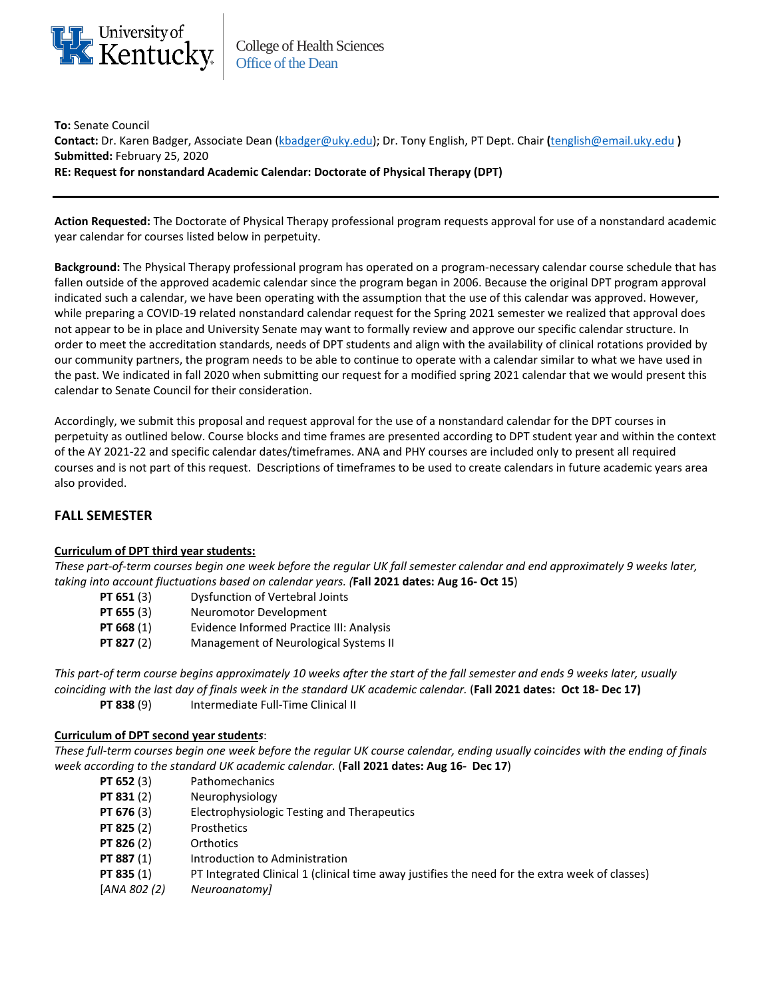

College of Health Sciences Office of the Dean

**To:** Senate Council **Contact:** Dr. Karen Badger, Associate Dean [\(kbadger@uky.edu\)](mailto:kbadger@uky.edu); Dr. Tony English, PT Dept. Chair **(**[tenglish@email.uky.edu](mailto:tenglish@email.uky.edu) **) Submitted:** February 25, 2020 **RE: Request for nonstandard Academic Calendar: Doctorate of Physical Therapy (DPT)**

**Action Requested:** The Doctorate of Physical Therapy professional program requests approval for use of a nonstandard academic year calendar for courses listed below in perpetuity.

**Background:** The Physical Therapy professional program has operated on a program-necessary calendar course schedule that has fallen outside of the approved academic calendar since the program began in 2006. Because the original DPT program approval indicated such a calendar, we have been operating with the assumption that the use of this calendar was approved. However, while preparing a COVID-19 related nonstandard calendar request for the Spring 2021 semester we realized that approval does not appear to be in place and University Senate may want to formally review and approve our specific calendar structure. In order to meet the accreditation standards, needs of DPT students and align with the availability of clinical rotations provided by our community partners, the program needs to be able to continue to operate with a calendar similar to what we have used in the past. We indicated in fall 2020 when submitting our request for a modified spring 2021 calendar that we would present this calendar to Senate Council for their consideration.

Accordingly, we submit this proposal and request approval for the use of a nonstandard calendar for the DPT courses in perpetuity as outlined below. Course blocks and time frames are presented according to DPT student year and within the context of the AY 2021-22 and specific calendar dates/timeframes. ANA and PHY courses are included only to present all required courses and is not part of this request. Descriptions of timeframes to be used to create calendars in future academic years area also provided.

# **FALL SEMESTER**

### **Curriculum of DPT third year students:**

*These part-of-term courses begin one week before the regular UK fall semester calendar and end approximately 9 weeks later, taking into account fluctuations based on calendar years. (***Fall 2021 dates: Aug 16- Oct 15**)

- **PT 651** (3) Dysfunction of Vertebral Joints
- **PT 655** (3) Neuromotor Development
- **PT 668** (1) Evidence Informed Practice III: Analysis
- **PT 827** (2) Management of Neurological Systems II

*This part-of term course begins approximately 10 weeks after the start of the fall semester and ends 9 weeks later, usually coinciding with the last day of finals week in the standard UK academic calendar.* (**Fall 2021 dates: Oct 18- Dec 17) PT 838 (9)** Intermediate Full-Time Clinical II

### **Curriculum of DPT second year student***s*:

*These full-term courses begin one week before the regular UK course calendar, ending usually coincides with the ending of finals week according to the standard UK academic calendar.* (**Fall 2021 dates: Aug 16- Dec 17**)

- **PT 652** (3) Pathomechanics
- **PT 831** (2) Neurophysiology
- **PT 676** (3) Electrophysiologic Testing and Therapeutics
- PT 825 (2) Prosthetics
- **PT 826** (2) Orthotics
- **PT 887** (1) Introduction to Administration
- **PT 835** (1) PT Integrated Clinical 1 (clinical time away justifies the need for the extra week of classes)
- [*ANA 802 (2) Neuroanatomy]*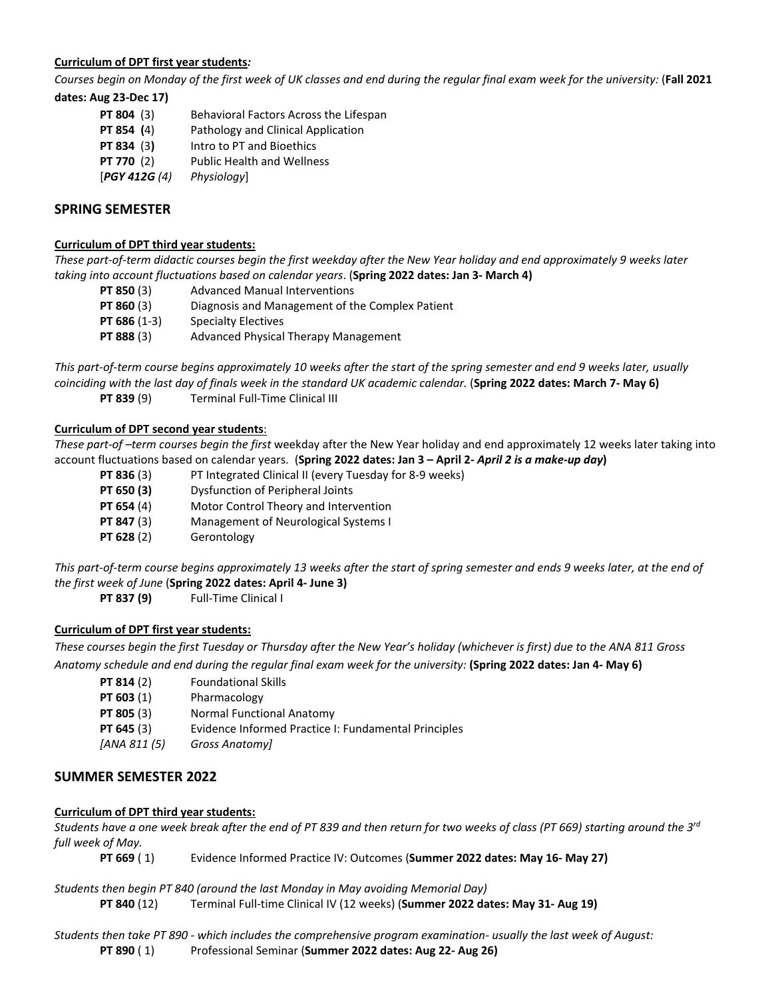## **Curriculum of DPT first year students***:*

*Courses begin on Monday of the first week of UK classes and end during the regular final exam week for the university:* (**Fall 2021 dates: Aug 23-Dec 17)**

**PT 804** (3) Behavioral Factors Across the Lifespan **PT 854** (4) Pathology and Clinical Application **PT 834** (3**)** Intro to PT and Bioethics **PT 770** (2) Public Health and Wellness [*PGY 412G (4) Physiology*]

# **SPRING SEMESTER**

## **Curriculum of DPT third year students:**

*These part-of-term didactic courses begin the first weekday after the New Year holiday and end approximately 9 weeks later taking into account fluctuations based on calendar years*. (**Spring 2022 dates: Jan 3- March 4)**

- **PT 850** (3) Advanced Manual Interventions **PT 860** (3) Diagnosis and Management of the Complex Patient
- **PT 686** (1-3) Specialty Electives
- **PT 888** (3) Advanced Physical Therapy Management

*This part-of-term course begins approximately 10 weeks after the start of the spring semester and end 9 weeks later, usually coinciding with the last day of finals week in the standard UK academic calendar.* (**Spring 2022 dates: March 7- May 6) PT 839** (9) Terminal Full-Time Clinical III

## **Curriculum of DPT second year students**:

*These part-of –term courses begin the first* weekday after the New Year holiday and end approximately 12 weeks later taking into account fluctuations based on calendar years. (**Spring 2022 dates: Jan 3 – April 2-** *April 2 is a make-up day***)**

- **PT 836** (3) PT Integrated Clinical II (every Tuesday for 8-9 weeks)
- **PT 650 (3)** Dysfunction of Peripheral Joints
- **PT 654** (4) Motor Control Theory and Intervention
- **PT 847** (3) Management of Neurological Systems I
- **PT 628** (2) Gerontology

*This part-of-term course begins approximately 13 weeks after the start of spring semester and ends 9 weeks later, at the end of the first week of June* (**Spring 2022 dates: April 4- June 3)**

**PT 837 (9)** Full-Time Clinical I

# **Curriculum of DPT first year students:**

*These courses begin the first Tuesday or Thursday after the New Year's holiday (whichever is first) due to the ANA 811 Gross Anatomy schedule and end during the regular final exam week for the university:* **(Spring 2022 dates: Jan 4- May 6)**

- **PT 814** (2) Foundational Skills
- **PT 603** (1) Pharmacology
- **PT 805** (3) Normal Functional Anatomy
- **PT 645** (3) Evidence Informed Practice I: Fundamental Principles
- *[ANA 811 (5) Gross Anatomy]*

# **SUMMER SEMESTER 2022**

### **Curriculum of DPT third year students:**

*Students have a one week break after the end of PT 839 and then return for two weeks of class (PT 669) starting around the 3rd full week of May.* 

**PT 669** ( 1) Evidence Informed Practice IV: Outcomes (**Summer 2022 dates: May 16- May 27)**

### *Students then begin PT 840 (around the last Monday in May avoiding Memorial Day)*

**PT 840** (12) Terminal Full-time Clinical IV (12 weeks) (**Summer 2022 dates: May 31- Aug 19)**

*Students then take PT 890 - which includes the comprehensive program examination- usually the last week of August:* **PT 890** ( 1) Professional Seminar (**Summer 2022 dates: Aug 22- Aug 26)**